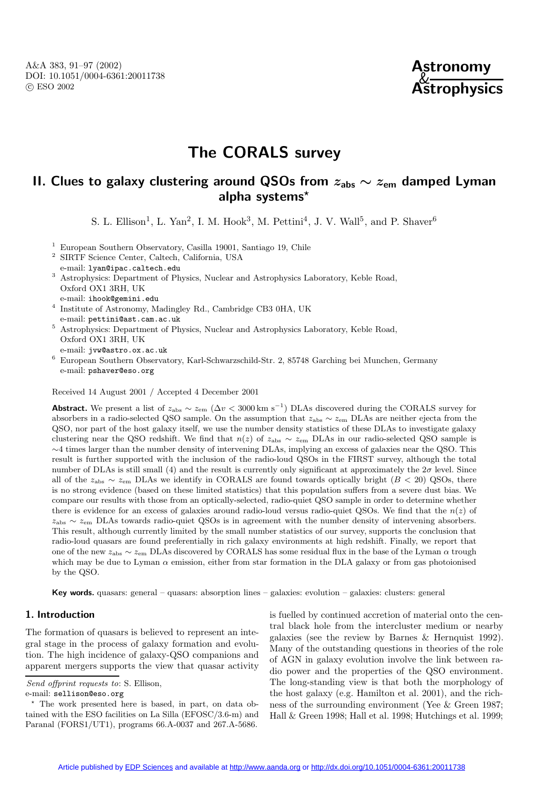A&A 383, 91–97 (2002) DOI: 10.1051/0004-6361:20011738 c ESO 2002



# **The CORALS survey**

## **II. Clues to galaxy clustering around QSOs from** *z***abs** *∼ z***em damped Lyman alpha systems***?*

S. L. Ellison<sup>1</sup>, L. Yan<sup>2</sup>, I. M. Hook<sup>3</sup>, M. Pettini<sup>4</sup>, J. V. Wall<sup>5</sup>, and P. Shaver<sup>6</sup>

<sup>3</sup> Astrophysics: Department of Physics, Nuclear and Astrophysics Laboratory, Keble Road, Oxford OX1 3RH, UK e-mail: ihook@gemini.edu

- <sup>5</sup> Astrophysics: Department of Physics, Nuclear and Astrophysics Laboratory, Keble Road, Oxford OX1 3RH, UK
- e-mail: jvw@astro.ox.ac.uk

<sup>6</sup> European Southern Observatory, Karl-Schwarzschild-Str. 2, 85748 Garching bei Munchen, Germany e-mail: pshaver@eso.org

Received 14 August 2001 / Accepted 4 December 2001

**Abstract.** We present a list of  $z_{\text{abs}} \sim z_{\text{em}}$  ( $\Delta v < 3000 \text{ km s}^{-1}$ ) DLAs discovered during the CORALS survey for absorbers in a radio-selected QSO sample. On the assumption that zabs ∼ zem DLAs are neither ejecta from the QSO, nor part of the host galaxy itself, we use the number density statistics of these DLAs to investigate galaxy clustering near the QSO redshift. We find that  $n(z)$  of  $z_{\text{abs}} \sim z_{\text{em}}$  DLAs in our radio-selected QSO sample is ∼4 times larger than the number density of intervening DLAs, implying an excess of galaxies near the QSO. This result is further supported with the inclusion of the radio-loud QSOs in the FIRST survey, although the total number of DLAs is still small (4) and the result is currently only significant at approximately the  $2\sigma$  level. Since all of the  $z_{\text{abs}} \sim z_{\text{em}}$  DLAs we identify in CORALS are found towards optically bright  $(B < 20)$  QSOs, there is no strong evidence (based on these limited statistics) that this population suffers from a severe dust bias. We compare our results with those from an optically-selected, radio-quiet QSO sample in order to determine whether there is evidence for an excess of galaxies around radio-loud versus radio-quiet QSOs. We find that the  $n(z)$  of  $z_{\text{abs}} \sim z_{\text{em}}$  DLAs towards radio-quiet QSOs is in agreement with the number density of intervening absorbers. This result, although currently limited by the small number statistics of our survey, supports the conclusion that radio-loud quasars are found preferentially in rich galaxy environments at high redshift. Finally, we report that one of the new z<sub>abs</sub> ∼ z<sub>em</sub> DLAs discovered by CORALS has some residual flux in the base of the Lyman α trough which may be due to Lyman α emission, either from star formation in the DLA galaxy or from gas photoionised by the QSO.

**Key words.** quasars: general – quasars: absorption lines – galaxies: evolution – galaxies: clusters: general

### **1. Introduction**

The formation of quasars is believed to represent an integral stage in the process of galaxy formation and evolution. The high incidence of galaxy-QSO companions and apparent mergers supports the view that quasar activity

is fuelled by continued accretion of material onto the central black hole from the intercluster medium or nearby galaxies (see the review by Barnes & Hernquist 1992). Many of the outstanding questions in theories of the role of AGN in galaxy evolution involve the link between radio power and the properties of the QSO environment. The long-standing view is that both the morphology of the host galaxy (e.g. Hamilton et al. 2001), and the richness of the surrounding environment (Yee & Green 1987; Hall & Green 1998; Hall et al. 1998; Hutchings et al. 1999;

<sup>1</sup> European Southern Observatory, Casilla 19001, Santiago 19, Chile

<sup>2</sup> SIRTF Science Center, Caltech, California, USA

e-mail: lyan@ipac.caltech.edu

<sup>4</sup> Institute of Astronomy, Madingley Rd., Cambridge CB3 0HA, UK e-mail: pettini@ast.cam.ac.uk

Send offprint requests to: S. Ellison,

e-mail: sellison@eso.org

<sup>?</sup> The work presented here is based, in part, on data obtained with the ESO facilities on La Silla (EFOSC/3.6-m) and Paranal (FORS1/UT1), programs 66.A-0037 and 267.A-5686.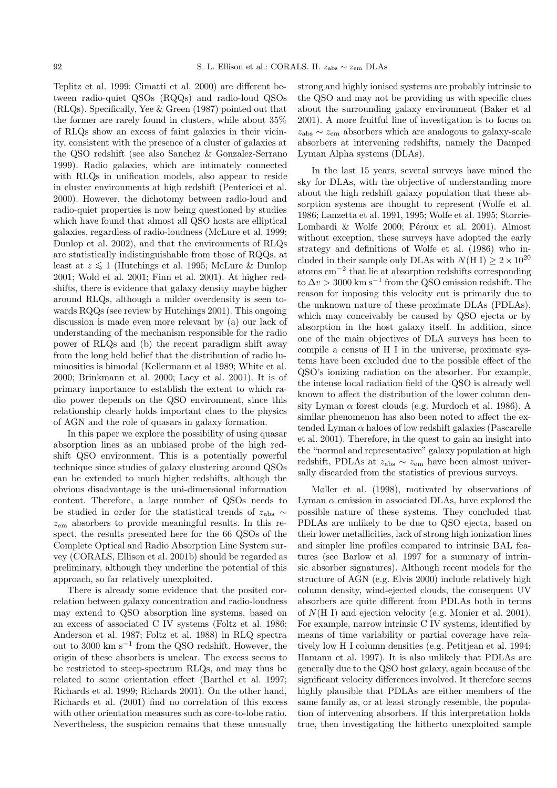Teplitz et al. 1999; Cimatti et al. 2000) are different between radio-quiet QSOs (RQQs) and radio-loud QSOs (RLQs). Specifically, Yee & Green (1987) pointed out that the former are rarely found in clusters, while about 35% of RLQs show an excess of faint galaxies in their vicinity, consistent with the presence of a cluster of galaxies at the QSO redshift (see also Sanchez & Gonzalez-Serrano 1999). Radio galaxies, which are intimately connected with RLQs in unification models, also appear to reside in cluster environments at high redshift (Pentericci et al. 2000). However, the dichotomy between radio-loud and radio-quiet properties is now being questioned by studies which have found that almost all QSO hosts are elliptical galaxies, regardless of radio-loudness (McLure et al. 1999; Dunlop et al. 2002), and that the environments of RLQs are statistically indistinguishable from those of RQQs, at least at  $z \lesssim 1$  (Hutchings et al. 1995; McLure & Dunlop 2001; Wold et al. 2001; Finn et al. 2001). At higher redshifts, there is evidence that galaxy density maybe higher around RLQs, although a milder overdensity is seen towards RQQs (see review by Hutchings 2001). This ongoing discussion is made even more relevant by (a) our lack of understanding of the mechanism responsible for the radio power of RLQs and (b) the recent paradigm shift away from the long held belief that the distribution of radio luminosities is bimodal (Kellermann et al 1989; White et al. 2000; Brinkmann et al. 2000; Lacy et al. 2001). It is of primary importance to establish the extent to which radio power depends on the QSO environment, since this relationship clearly holds important clues to the physics of AGN and the role of quasars in galaxy formation.

In this paper we explore the possibility of using quasar absorption lines as an unbiased probe of the high redshift QSO environment. This is a potentially powerful technique since studies of galaxy clustering around QSOs can be extended to much higher redshifts, although the obvious disadvantage is the uni-dimensional information content. Therefore, a large number of QSOs needs to be studied in order for the statistical trends of  $z_{\text{abs}}$  ∼  $z_{\rm em}$  absorbers to provide meaningful results. In this respect, the results presented here for the 66 QSOs of the Complete Optical and Radio Absorption Line System survey (CORALS, Ellison et al. 2001b) should be regarded as preliminary, although they underline the potential of this approach, so far relatively unexploited.

There is already some evidence that the posited correlation between galaxy concentration and radio-loudness may extend to QSO absorption line systems, based on an excess of associated C IV systems (Foltz et al. 1986; Anderson et al. 1987; Foltz et al. 1988) in RLQ spectra out to 3000 km s−<sup>1</sup> from the QSO redshift. However, the origin of these absorbers is unclear. The excess seems to be restricted to steep-spectrum RLQs, and may thus be related to some orientation effect (Barthel et al. 1997; Richards et al. 1999; Richards 2001). On the other hand, Richards et al. (2001) find no correlation of this excess with other orientation measures such as core-to-lobe ratio. Nevertheless, the suspicion remains that these unusually

strong and highly ionised systems are probably intrinsic to the QSO and may not be providing us with specific clues about the surrounding galaxy environment (Baker et al 2001). A more fruitful line of investigation is to focus on  $z_{\rm abs} \sim z_{\rm em}$  absorbers which are analogous to galaxy-scale absorbers at intervening redshifts, namely the Damped Lyman Alpha systems (DLAs).

In the last 15 years, several surveys have mined the sky for DLAs, with the objective of understanding more about the high redshift galaxy population that these absorption systems are thought to represent (Wolfe et al. 1986; Lanzetta et al. 1991, 1995; Wolfe et al. 1995; Storrie-Lombardi & Wolfe 2000; Péroux et al. 2001). Almost without exception, these surveys have adopted the early strategy and definitions of Wolfe et al. (1986) who included in their sample only DLAs with  $N(H I) \ge 2 \times 10^{20}$ atoms cm−<sup>2</sup> that lie at absorption redshifts corresponding to  $\Delta v > 3000 \text{ km s}^{-1}$  from the QSO emission redshift. The reason for imposing this velocity cut is primarily due to the unknown nature of these proximate DLAs (PDLAs), which may conceivably be caused by QSO ejecta or by absorption in the host galaxy itself. In addition, since one of the main objectives of DLA surveys has been to compile a census of H I in the universe, proximate systems have been excluded due to the possible effect of the QSO's ionizing radiation on the absorber. For example, the intense local radiation field of the QSO is already well known to affect the distribution of the lower column density Lyman  $\alpha$  forest clouds (e.g. Murdoch et al. 1986). A similar phenomenon has also been noted to affect the extended Lyman  $\alpha$  haloes of low redshift galaxies (Pascarelle et al. 2001). Therefore, in the quest to gain an insight into the "normal and representative" galaxy population at high redshift, PDLAs at  $z_{\text{abs}} \sim z_{\text{em}}$  have been almost universally discarded from the statistics of previous surveys.

Møller et al. (1998), motivated by observations of Lyman  $\alpha$  emission in associated DLAs, have explored the possible nature of these systems. They concluded that PDLAs are unlikely to be due to QSO ejecta, based on their lower metallicities, lack of strong high ionization lines and simpler line profiles compared to intrinsic BAL features (see Barlow et al. 1997 for a summary of intrinsic absorber signatures). Although recent models for the structure of AGN (e.g. Elvis 2000) include relatively high column density, wind-ejected clouds, the consequent UV absorbers are quite different from PDLAs both in terms of  $N(H I)$  and ejection velocity (e.g. Monier et al. 2001). For example, narrow intrinsic C IV systems, identified by means of time variability or partial coverage have relatively low H I column densities (e.g. Petitjean et al. 1994; Hamann et al. 1997). It is also unlikely that PDLAs are generally due to the QSO host galaxy, again because of the significant velocity differences involved. It therefore seems highly plausible that PDLAs are either members of the same family as, or at least strongly resemble, the population of intervening absorbers. If this interpretation holds true, then investigating the hitherto unexploited sample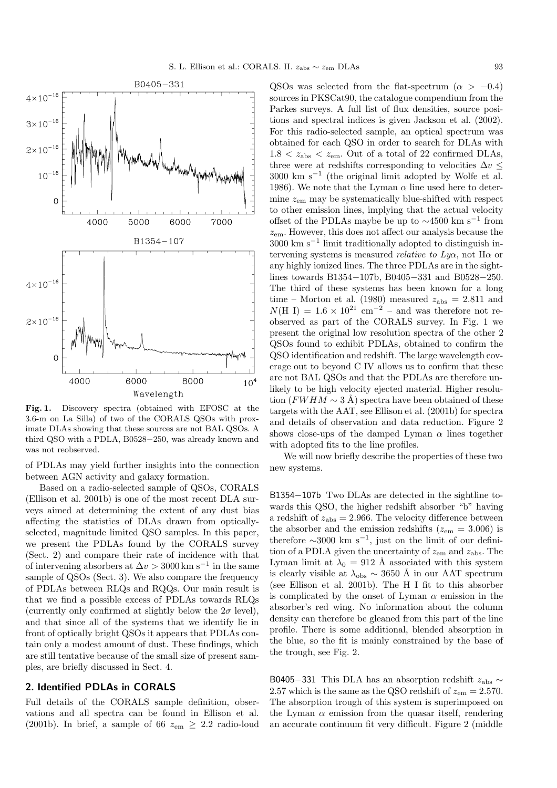

**Fig. 1.** Discovery spectra (obtained with EFOSC at the 3.6-m on La Silla) of two of the CORALS QSOs with proximate DLAs showing that these sources are not BAL QSOs. A third QSO with a PDLA, B0528−250, was already known and was not reobserved.

of PDLAs may yield further insights into the connection between AGN activity and galaxy formation.

Based on a radio-selected sample of QSOs, CORALS (Ellison et al. 2001b) is one of the most recent DLA surveys aimed at determining the extent of any dust bias affecting the statistics of DLAs drawn from opticallyselected, magnitude limited QSO samples. In this paper, we present the PDLAs found by the CORALS survey (Sect. 2) and compare their rate of incidence with that of intervening absorbers at  $\Delta v > 3000 \,\mathrm{km \ s^{-1}}$  in the same sample of QSOs (Sect. 3). We also compare the frequency of PDLAs between RLQs and RQQs. Our main result is that we find a possible excess of PDLAs towards RLQs (currently only confirmed at slightly below the  $2\sigma$  level), and that since all of the systems that we identify lie in front of optically bright QSOs it appears that PDLAs contain only a modest amount of dust. These findings, which are still tentative because of the small size of present samples, are briefly discussed in Sect. 4.

#### **2. Identified PDLAs in CORALS**

Full details of the CORALS sample definition, observations and all spectra can be found in Ellison et al. (2001b). In brief, a sample of 66  $z_{\rm em} \geq 2.2$  radio-loud QSOs was selected from the flat-spectrum ( $\alpha > -0.4$ ) sources in PKSCat90, the catalogue compendium from the Parkes surveys. A full list of flux densities, source positions and spectral indices is given Jackson et al. (2002). For this radio-selected sample, an optical spectrum was obtained for each QSO in order to search for DLAs with  $1.8 < z<sub>abs</sub> < z<sub>em</sub>$ . Out of a total of 22 confirmed DLAs, three were at redshifts corresponding to velocities  $\Delta v$  <  $3000 \text{ km s}^{-1}$  (the original limit adopted by Wolfe et al. 1986). We note that the Lyman  $\alpha$  line used here to determine  $z_{\rm em}$  may be systematically blue-shifted with respect to other emission lines, implying that the actual velocity offset of the PDLAs maybe be up to  $\sim$ 4500 km s<sup>-1</sup> from  $z_{em}$ . However, this does not affect our analysis because the  $3000 \text{ km s}^{-1}$  limit traditionally adopted to distinguish intervening systems is measured *relative to Lya*, not  $H\alpha$  or any highly ionized lines. The three PDLAs are in the sightlines towards B1354−107b, B0405−331 and B0528−250. The third of these systems has been known for a long time – Morton et al. (1980) measured  $z_{\text{abs}} = 2.811$  and  $N(H I) = 1.6 \times 10^{21}$  cm<sup>-2</sup> – and was therefore not reobserved as part of the CORALS survey. In Fig. 1 we present the original low resolution spectra of the other 2 QSOs found to exhibit PDLAs, obtained to confirm the QSO identification and redshift. The large wavelength coverage out to beyond C IV allows us to confirm that these are not BAL QSOs and that the PDLAs are therefore unlikely to be high velocity ejected material. Higher resolution ( $FWHM \sim 3$  Å) spectra have been obtained of these targets with the AAT, see Ellison et al. (2001b) for spectra and details of observation and data reduction. Figure 2 shows close-ups of the damped Lyman  $\alpha$  lines together with adopted fits to the line profiles.

We will now briefly describe the properties of these two new systems.

B1354−107b Two DLAs are detected in the sightline towards this QSO, the higher redshift absorber "b" having a redshift of  $z_{\text{abs}} = 2.966$ . The velocity difference between the absorber and the emission redshifts ( $z_{\rm em} = 3.006$ ) is therefore  $\sim$ 3000 km s<sup>-1</sup>, just on the limit of our definition of a PDLA given the uncertainty of  $z_{em}$  and  $z_{abs}$ . The Lyman limit at  $\lambda_0 = 912$  Å associated with this system is clearly visible at  $\lambda_{\rm obs} \sim 3650$  Å in our AAT spectrum (see Ellison et al. 2001b). The H I fit to this absorber is complicated by the onset of Lyman  $\alpha$  emission in the absorber's red wing. No information about the column density can therefore be gleaned from this part of the line profile. There is some additional, blended absorption in the blue, so the fit is mainly constrained by the base of the trough, see Fig. 2.

B0405−331 This DLA has an absorption redshift  $z_{\rm abs} \sim$ 2.57 which is the same as the QSO redshift of  $z_{em} = 2.570$ . The absorption trough of this system is superimposed on the Lyman  $\alpha$  emission from the quasar itself, rendering an accurate continuum fit very difficult. Figure 2 (middle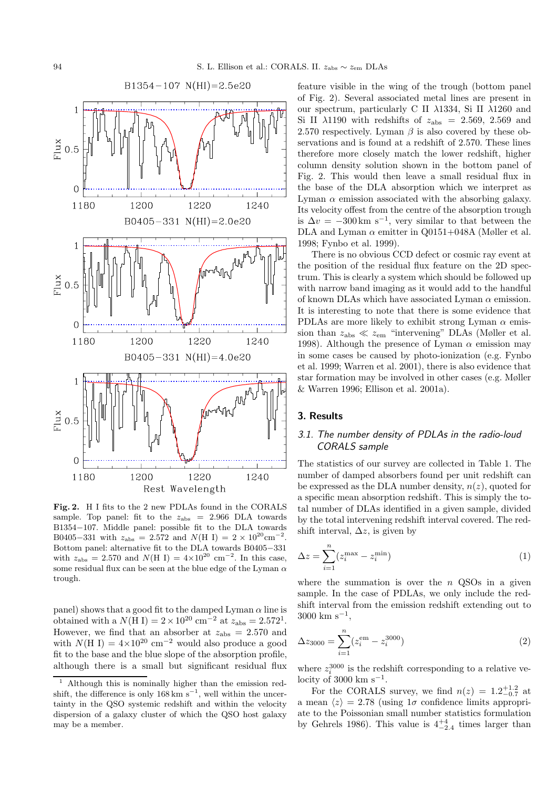

**Fig. 2.** H I fits to the 2 new PDLAs found in the CORALS sample. Top panel: fit to the  $z_{\text{abs}} = 2.966$  DLA towards B1354−107. Middle panel: possible fit to the DLA towards B0405−331 with  $z_{\text{abs}} = 2.572$  and  $N(H I) = 2 \times 10^{20} \text{cm}^{-2}$ . Bottom panel: alternative fit to the DLA towards B0405−331 with  $z_{\text{abs}} = 2.570$  and  $N(H I) = 4 \times 10^{20}$  cm<sup>-2</sup>. In this case, some residual flux can be seen at the blue edge of the Lyman  $\alpha$ trough.

panel) shows that a good fit to the damped Lyman  $\alpha$  line is obtained with a  $N(H I) = 2 \times 10^{20}$  cm<sup>-2</sup> at  $z_{\text{abs}} = 2.572^{1}$ . However, we find that an absorber at  $z_{\text{abs}} = 2.570$  and with  $N(H I) = 4 \times 10^{20}$  cm<sup>-2</sup> would also produce a good fit to the base and the blue slope of the absorption profile, although there is a small but significant residual flux feature visible in the wing of the trough (bottom panel of Fig. 2). Several associated metal lines are present in our spectrum, particularly C II λ1334, Si II λ1260 and Si II  $\lambda$ 1190 with redshifts of  $z_{\text{abs}} = 2.569$ , 2.569 and 2.570 respectively. Lyman  $\beta$  is also covered by these observations and is found at a redshift of 2.570. These lines therefore more closely match the lower redshift, higher column density solution shown in the bottom panel of Fig. 2. This would then leave a small residual flux in the base of the DLA absorption which we interpret as Lyman  $\alpha$  emission associated with the absorbing galaxy. Its velocity offest from the centre of the absorption trough is  $\Delta v = -300 \,\mathrm{km \ s^{-1}}$ , very similar to that between the DLA and Lyman  $\alpha$  emitter in Q0151+048A (Møller et al. 1998; Fynbo et al. 1999).

There is no obvious CCD defect or cosmic ray event at the position of the residual flux feature on the 2D spectrum. This is clearly a system which should be followed up with narrow band imaging as it would add to the handful of known DLAs which have associated Lyman  $\alpha$  emission. It is interesting to note that there is some evidence that PDLAs are more likely to exhibit strong Lyman  $\alpha$  emission than  $z_{\text{abs}} \ll z_{\text{em}}$  "intervening" DLAs (Møller et al. 1998). Although the presence of Lyman  $\alpha$  emission may in some cases be caused by photo-ionization (e.g. Fynbo et al. 1999; Warren et al. 2001), there is also evidence that star formation may be involved in other cases (e.g. Møller & Warren 1996; Ellison et al. 2001a).

## **3. Results**

## 3.1. The number density of PDLAs in the radio-loud CORALS sample

The statistics of our survey are collected in Table 1. The number of damped absorbers found per unit redshift can be expressed as the DLA number density,  $n(z)$ , quoted for a specific mean absorption redshift. This is simply the total number of DLAs identified in a given sample, divided by the total intervening redshift interval covered. The redshift interval,  $\Delta z$ , is given by

$$
\Delta z = \sum_{i=1}^{n} (z_i^{\text{max}} - z_i^{\text{min}})
$$
\n(1)

where the summation is over the  $n$  QSOs in a given sample. In the case of PDLAs, we only include the redshift interval from the emission redshift extending out to  $3000 \text{ km s}^{-1}$ .

$$
\Delta z_{3000} = \sum_{i=1}^{n} (z_i^{\text{em}} - z_i^{3000})
$$
\n(2)

where  $z_i^{3000}$  is the redshift corresponding to a relative velocity of 3000 km s<sup> $-1$ </sup>.

For the CORALS survey, we find  $n(z)=1.2^{+1.2}_{-0.7}$  at a mean  $\langle z \rangle = 2.78$  (using  $1\sigma$  confidence limits appropriate to the Poissonian small number statistics formulation by Gehrels 1986). This value is  $4^{+4}_{-2.4}$  times larger than

<sup>1</sup> Although this is nominally higher than the emission redshift, the difference is only  $168 \text{ km s}^{-1}$ , well within the uncertainty in the QSO systemic redshift and within the velocity dispersion of a galaxy cluster of which the QSO host galaxy may be a member.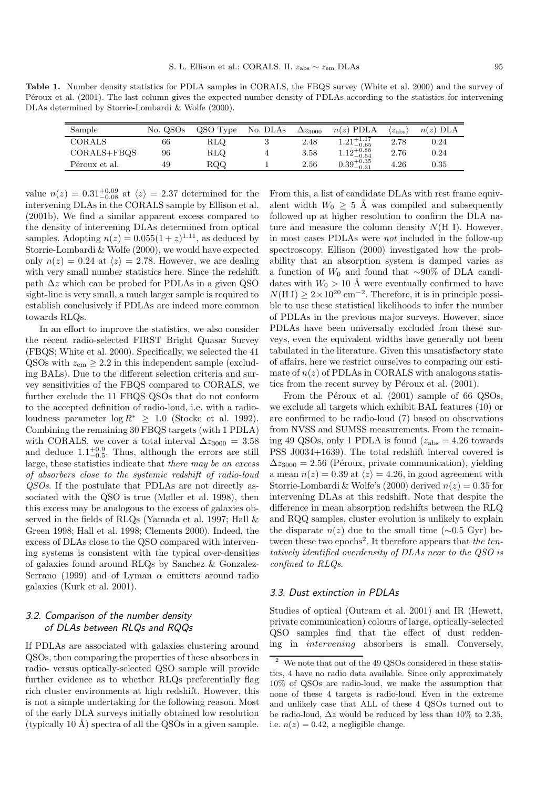**Table 1.** Number density statistics for PDLA samples in CORALS, the FBQS survey (White et al. 2000) and the survey of Péroux et al. (2001). The last column gives the expected number density of PDLAs according to the statistics for intervening DLAs determined by Storrie-Lombardi & Wolfe (2000).

| Sample        | No. QSOs | QSO Type   | No. DLAs | $\Delta z_{3000}$ | $n(z)$ PDLA            | $z_{\rm abs}$ | $n(z)$ DLA |
|---------------|----------|------------|----------|-------------------|------------------------|---------------|------------|
| <b>CORALS</b> | 66       | RLQ        |          | 2.48              | $1.21_{-0.65}^{+1.17}$ | 2.78          | 0.24       |
| CORALS+FBQS   | 96       | RLQ        | 4        | 3.58              | $1.12^{+0.88}_{-0.54}$ | 2.76          | 0.24       |
| Péroux et al. | 49       | <b>ROQ</b> |          | 2.56              | $0.39^{+0.35}_{-0.31}$ | 4.26          | 0.35       |

value  $n(z)=0.31^{+0.09}_{-0.08}$  at  $\langle z \rangle = 2.37$  determined for the intervening DLAs in the CORALS sample by Ellison et al. (2001b). We find a similar apparent excess compared to the density of intervening DLAs determined from optical samples. Adopting  $n(z)=0.055(1+z)^{1.11}$ , as deduced by Storrie-Lombardi & Wolfe (2000), we would have expected only  $n(z)=0.24$  at  $\langle z \rangle = 2.78$ . However, we are dealing with very small number statistics here. Since the redshift path  $\Delta z$  which can be probed for PDLAs in a given QSO sight-line is very small, a much larger sample is required to establish conclusively if PDLAs are indeed more common towards RLQs.

In an effort to improve the statistics, we also consider the recent radio-selected FIRST Bright Quasar Survey (FBQS; White et al. 2000). Specifically, we selected the 41 QSOs with  $z_{em} \geq 2.2$  in this independent sample (excluding BALs). Due to the different selection criteria and survey sensitivities of the FBQS compared to CORALS, we further exclude the 11 FBQS QSOs that do not conform to the accepted definition of radio-loud, i.e. with a radioloudness parameter  $\log R^* \geq 1.0$  (Stocke et al. 1992). Combining the remaining 30 FBQS targets (with 1 PDLA) with CORALS, we cover a total interval  $\Delta z_{3000} = 3.58$ and deduce  $1.1^{+0.9}_{-0.5}$ . Thus, although the errors are still large, these statistics indicate that there may be an excess of absorbers close to the systemic redshift of radio-loud QSOs. If the postulate that PDLAs are not directly associated with the QSO is true (Møller et al. 1998), then this excess may be analogous to the excess of galaxies observed in the fields of RLQs (Yamada et al. 1997; Hall & Green 1998; Hall et al. 1998; Clements 2000). Indeed, the excess of DLAs close to the QSO compared with intervening systems is consistent with the typical over-densities of galaxies found around RLQs by Sanchez & Gonzalez-Serrano (1999) and of Lyman  $\alpha$  emitters around radio galaxies (Kurk et al. 2001).

## 3.2. Comparison of the number density of DLAs between RLQs and RQQs

If PDLAs are associated with galaxies clustering around QSOs, then comparing the properties of these absorbers in radio- versus optically-selected QSO sample will provide further evidence as to whether RLQs preferentially flag rich cluster environments at high redshift. However, this is not a simple undertaking for the following reason. Most of the early DLA surveys initially obtained low resolution (typically 10 Å) spectra of all the QSOs in a given sample.

From this, a list of candidate DLAs with rest frame equivalent width  $W_0 \geq 5$  Å was compiled and subsequently followed up at higher resolution to confirm the DLA nature and measure the column density  $N(H I)$ . However, in most cases PDLAs were not included in the follow-up spectroscopy. Ellison (2000) investigated how the probability that an absorption system is damped varies as a function of  $W_0$  and found that ∼90% of DLA candidates with  $W_0 > 10$  Å were eventually confirmed to have dates with  $W_0 > 10^{-10}$  cm<sup>-2</sup>. Therefore, it is in principle possi-<br> $N(H I) ≥ 2 × 10<sup>20</sup>$  cm<sup>-2</sup>. Therefore, it is in principle possible to use these statistical likelihoods to infer the number of PDLAs in the previous major surveys. However, since PDLAs have been universally excluded from these surveys, even the equivalent widths have generally not been tabulated in the literature. Given this unsatisfactory state of affairs, here we restrict ourselves to comparing our estimate of  $n(z)$  of PDLAs in CORALS with analogous statistics from the recent survey by Péroux et al.  $(2001)$ .

From the Péroux et al.  $(2001)$  sample of 66 QSOs, we exclude all targets which exhibit BAL features (10) or are confirmed to be radio-loud (7) based on observations from NVSS and SUMSS measurements. From the remaining 49 QSOs, only 1 PDLA is found  $(z_{\text{abs}} = 4.26 \text{ towards}$ PSS J0034+1639). The total redshift interval covered is  $\Delta z_{3000} = 2.56$  (Péroux, private communication), yielding a mean  $n(z)=0.39$  at  $\langle z \rangle = 4.26$ , in good agreement with Storrie-Lombardi & Wolfe's (2000) derived  $n(z)=0.35$  for intervening DLAs at this redshift. Note that despite the difference in mean absorption redshifts between the RLQ and RQQ samples, cluster evolution is unlikely to explain the disparate  $n(z)$  due to the small time (∼0.5 Gyr) between these two epochs<sup>2</sup>. It therefore appears that the tentatively identified overdensity of DLAs near to the QSO is confined to RLQs.

#### 3.3. Dust extinction in PDLAs

Studies of optical (Outram et al. 2001) and IR (Hewett, private communication) colours of large, optically-selected QSO samples find that the effect of dust reddening in intervening absorbers is small. Conversely,

 $^{\rm 2}\,$  We note that out of the 49 QSOs considered in these statistics, 4 have no radio data available. Since only approximately 10% of QSOs are radio-loud, we make the assumption that none of these 4 targets is radio-loud. Even in the extreme and unlikely case that ALL of these 4 QSOs turned out to be radio-loud,  $\Delta z$  would be reduced by less than 10% to 2.35. i.e.  $n(z)=0.42$ , a negligible change.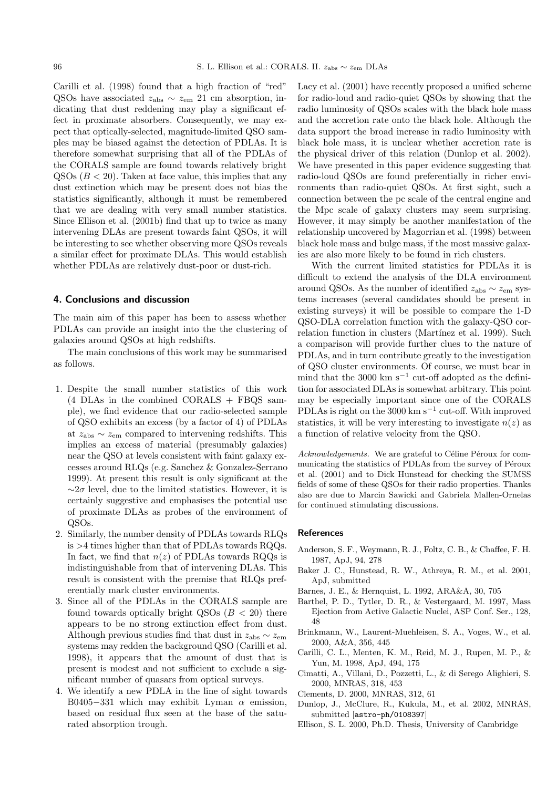Carilli et al. (1998) found that a high fraction of "red" QSOs have associated  $z_{\text{abs}} \sim z_{\text{em}}$  21 cm absorption, indicating that dust reddening may play a significant effect in proximate absorbers. Consequently, we may expect that optically-selected, magnitude-limited QSO samples may be biased against the detection of PDLAs. It is therefore somewhat surprising that all of the PDLAs of the CORALS sample are found towards relatively bright  $QSOs (B < 20)$ . Taken at face value, this implies that any dust extinction which may be present does not bias the statistics significantly, although it must be remembered that we are dealing with very small number statistics. Since Ellison et al. (2001b) find that up to twice as many intervening DLAs are present towards faint QSOs, it will be interesting to see whether observing more QSOs reveals a similar effect for proximate DLAs. This would establish whether PDLAs are relatively dust-poor or dust-rich.

#### **4. Conclusions and discussion**

The main aim of this paper has been to assess whether PDLAs can provide an insight into the the clustering of galaxies around QSOs at high redshifts.

The main conclusions of this work may be summarised as follows.

- 1. Despite the small number statistics of this work  $(4$  DLAs in the combined CORALS + FBQS sample), we find evidence that our radio-selected sample of QSO exhibits an excess (by a factor of 4) of PDLAs at  $z_{\rm abs} \sim z_{\rm em}$  compared to intervening redshifts. This implies an excess of material (presumably galaxies) near the QSO at levels consistent with faint galaxy excesses around RLQs (e.g. Sanchez & Gonzalez-Serrano 1999). At present this result is only significant at the  $\sim$ 2 $\sigma$  level, due to the limited statistics. However, it is certainly suggestive and emphasises the potential use of proximate DLAs as probes of the environment of QSOs.
- 2. Similarly, the number density of PDLAs towards RLQs is >4 times higher than that of PDLAs towards RQQs. In fact, we find that  $n(z)$  of PDLAs towards RQQs is indistinguishable from that of intervening DLAs. This result is consistent with the premise that RLQs preferentially mark cluster environments.
- 3. Since all of the PDLAs in the CORALS sample are found towards optically bright QSOs  $(B < 20)$  there appears to be no strong extinction effect from dust. Although previous studies find that dust in  $z_{\text{abs}} \sim z_{\text{em}}$ systems may redden the background QSO (Carilli et al. 1998), it appears that the amount of dust that is present is modest and not sufficient to exclude a significant number of quasars from optical surveys.
- 4. We identify a new PDLA in the line of sight towards B0405−331 which may exhibit Lyman  $\alpha$  emission, based on residual flux seen at the base of the saturated absorption trough.

Lacy et al. (2001) have recently proposed a unified scheme for radio-loud and radio-quiet QSOs by showing that the radio luminosity of QSOs scales with the black hole mass and the accretion rate onto the black hole. Although the data support the broad increase in radio luminosity with black hole mass, it is unclear whether accretion rate is the physical driver of this relation (Dunlop et al. 2002). We have presented in this paper evidence suggesting that radio-loud QSOs are found preferentially in richer environments than radio-quiet QSOs. At first sight, such a connection between the pc scale of the central engine and the Mpc scale of galaxy clusters may seem surprising. However, it may simply be another manifestation of the relationship uncovered by Magorrian et al. (1998) between black hole mass and bulge mass, if the most massive galaxies are also more likely to be found in rich clusters.

With the current limited statistics for PDLAs it is difficult to extend the analysis of the DLA environment around QSOs. As the number of identified  $z_{\text{abs}} \sim z_{\text{em}}$  systems increases (several candidates should be present in existing surveys) it will be possible to compare the 1-D QSO-DLA correlation function with the galaxy-QSO correlation function in clusters (Martínez et al. 1999). Such a comparison will provide further clues to the nature of PDLAs, and in turn contribute greatly to the investigation of QSO cluster environments. Of course, we must bear in mind that the 3000 km  $\rm s^{-1}$  cut-off adopted as the definition for associated DLAs is somewhat arbitrary. This point may be especially important since one of the CORALS PDLAs is right on the 3000 km s−<sup>1</sup> cut-off. With improved statistics, it will be very interesting to investigate  $n(z)$  as a function of relative velocity from the QSO.

Acknowledgements. We are grateful to Céline Péroux for communicating the statistics of PDLAs from the survey of Péroux et al. (2001) and to Dick Hunstead for checking the SUMSS fields of some of these QSOs for their radio properties. Thanks also are due to Marcin Sawicki and Gabriela Mallen-Ornelas for continued stimulating discussions.

#### **References**

- Anderson, S. F., Weymann, R. J., Foltz, C. B., & Chaffee, F. H. 1987, ApJ, 94, 278
- Baker J. C., Hunstead, R. W., Athreya, R. M., et al. 2001, ApJ, submitted
- Barnes, J. E., & Hernquist, L. 1992, ARA&A, 30, 705
- Barthel, P. D., Tytler, D. R., & Vestergaard, M. 1997, Mass Ejection from Active Galactic Nuclei, ASP Conf. Ser., 128, 48
- Brinkmann, W., Laurent-Muehleisen, S. A., Voges, W., et al. 2000, A&A, 356, 445
- Carilli, C. L., Menten, K. M., Reid, M. J., Rupen, M. P., & Yun, M. 1998, ApJ, 494, 175
- Cimatti, A., Villani, D., Pozzetti, L., & di Serego Alighieri, S. 2000, MNRAS, 318, 453
- Clements, D. 2000, MNRAS, 312, 61
- Dunlop, J., McClure, R., Kukula, M., et al. 2002, MNRAS, submitted [astro-ph/0108397]
- Ellison, S. L. 2000, Ph.D. Thesis, University of Cambridge